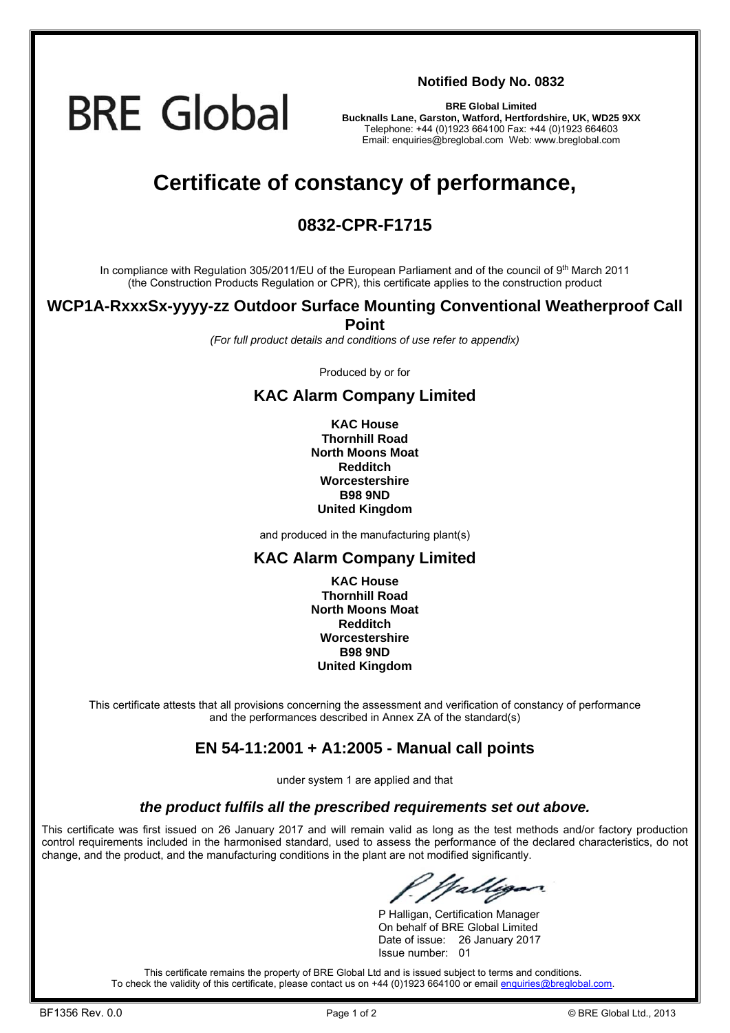# **BRE Global**

**Notified Body No. 0832**

**BRE Global Limited Bucknalls Lane, Garston, Watford, Hertfordshire, UK, WD25 9XX**  Telephone: +44 (0)1923 664100 Fax: +44 (0)1923 664603 Email: enquiries@breglobal.com Web: www.breglobal.com

# **Certificate of constancy of performance,**

## **0832-CPR-F1715**

In compliance with Regulation 305/2011/EU of the European Parliament and of the council of 9<sup>th</sup> March 2011 (the Construction Products Regulation or CPR), this certificate applies to the construction product

#### **WCP1A-RxxxSx-yyyy-zz Outdoor Surface Mounting Conventional Weatherproof Call Point**

*(For full product details and conditions of use refer to appendix)* 

Produced by or for

### **KAC Alarm Company Limited**

**KAC House Thornhill Road North Moons Moat Redditch Worcestershire B98 9ND United Kingdom**

and produced in the manufacturing plant(s)

#### **KAC Alarm Company Limited**

**KAC House Thornhill Road North Moons Moat Redditch Worcestershire B98 9ND United Kingdom** 

This certificate attests that all provisions concerning the assessment and verification of constancy of performance and the performances described in Annex ZA of the standard(s)

### **EN 54-11:2001 + A1:2005 - Manual call points**

under system 1 are applied and that

#### *the product fulfils all the prescribed requirements set out above.*

This certificate was first issued on 26 January 2017 and will remain valid as long as the test methods and/or factory production control requirements included in the harmonised standard, used to assess the performance of the declared characteristics, do not change, and the product, and the manufacturing conditions in the plant are not modified significantly.

Valliga

 P Halligan, Certification Manager On behalf of BRE Global Limited Date of issue: 26 January 2017 Issue number: 01

This certificate remains the property of BRE Global Ltd and is issued subject to terms and conditions. To check the validity of this certificate, please contact us on +44 (0)1923 664100 or email enquiries@breglobal.com.